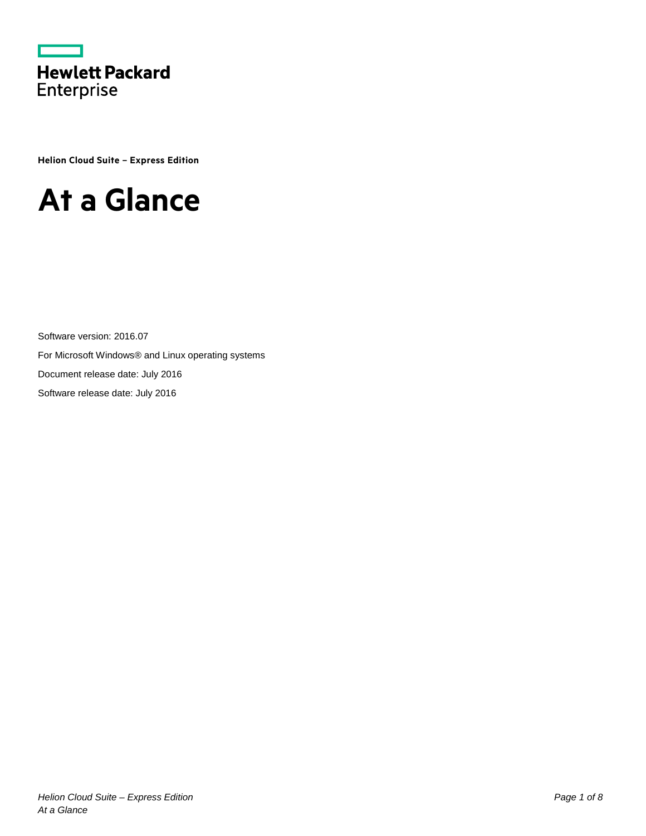

**Helion Cloud Suite – Express Edition**

# **At a Glance**

Software version: 2016.07 For Microsoft Windows® and Linux operating systems Document release date: July 2016 Software release date: July 2016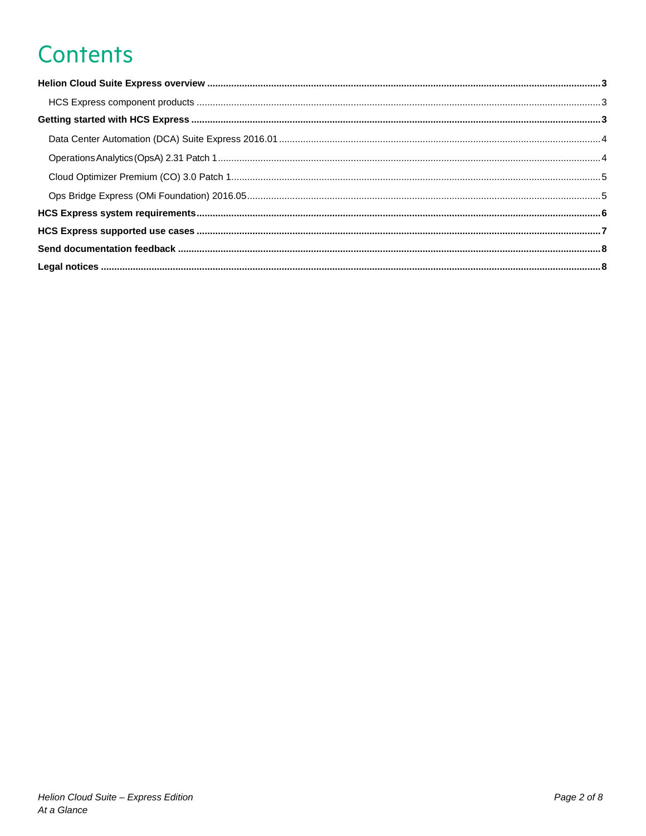# **Contents**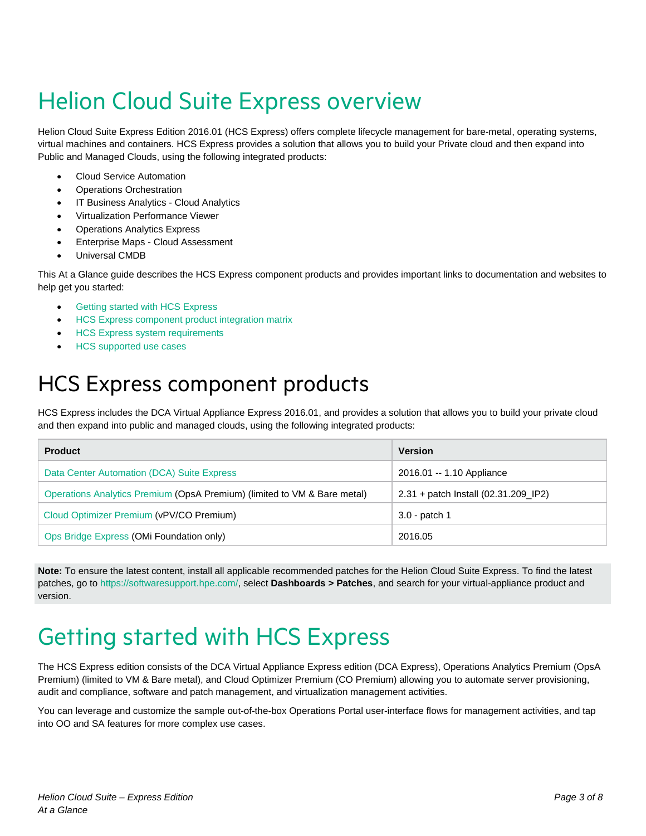# <span id="page-2-0"></span>Helion Cloud Suite Express overview

Helion Cloud Suite Express Edition 2016.01 (HCS Express) offers complete lifecycle management for bare-metal, operating systems, virtual machines and containers. HCS Express provides a solution that allows you to build your Private cloud and then expand into Public and Managed Clouds, using the following integrated products:

- Cloud Service Automation
- Operations Orchestration
- IT Business Analytics Cloud Analytics
- Virtualization Performance Viewer
- Operations Analytics Express
- Enterprise Maps Cloud Assessment
- Universal CMDB

This At a Glance guide describes the HCS Express component products and provides important links to documentation and websites to help get you started:

- [Getting started with HCS Express](#page-2-3)
- [HCS Express component product integration matrix](#page-5-0)
- **[HCS Express system requirements](#page-5-0)**
- [HCS supported use cases](#page-6-0)

### <span id="page-2-1"></span>HCS Express component products

HCS Express includes the DCA Virtual Appliance Express 2016.01, and provides a solution that allows you to build your private cloud and then expand into public and managed clouds, using the following integrated products:

| <b>Product</b>                                                           | <b>Version</b>                       |
|--------------------------------------------------------------------------|--------------------------------------|
| Data Center Automation (DCA) Suite Express                               | 2016.01 -- 1.10 Appliance            |
| Operations Analytics Premium (OpsA Premium) (limited to VM & Bare metal) | 2.31 + patch Install (02.31.209_IP2) |
| Cloud Optimizer Premium (vPV/CO Premium)                                 | 3.0 - patch 1                        |
| Ops Bridge Express (OMi Foundation only)                                 | 2016.05                              |

<span id="page-2-3"></span>**Note:** To ensure the latest content, install all applicable recommended patches for the Helion Cloud Suite Express. To find the latest patches, go to [https://softwaresupport.hpe.com/,](https://softwaresupport.hpe.com/) select **Dashboards > Patches**, and search for your virtual-appliance product and version.

## <span id="page-2-2"></span>Getting started with HCS Express

The HCS Express edition consists of the DCA Virtual Appliance Express edition (DCA Express), Operations Analytics Premium (OpsA Premium) (limited to VM & Bare metal), and Cloud Optimizer Premium (CO Premium) allowing you to automate server provisioning, audit and compliance, software and patch management, and virtualization management activities.

You can leverage and customize the sample out-of-the-box Operations Portal user-interface flows for management activities, and tap into OO and SA features for more complex use cases.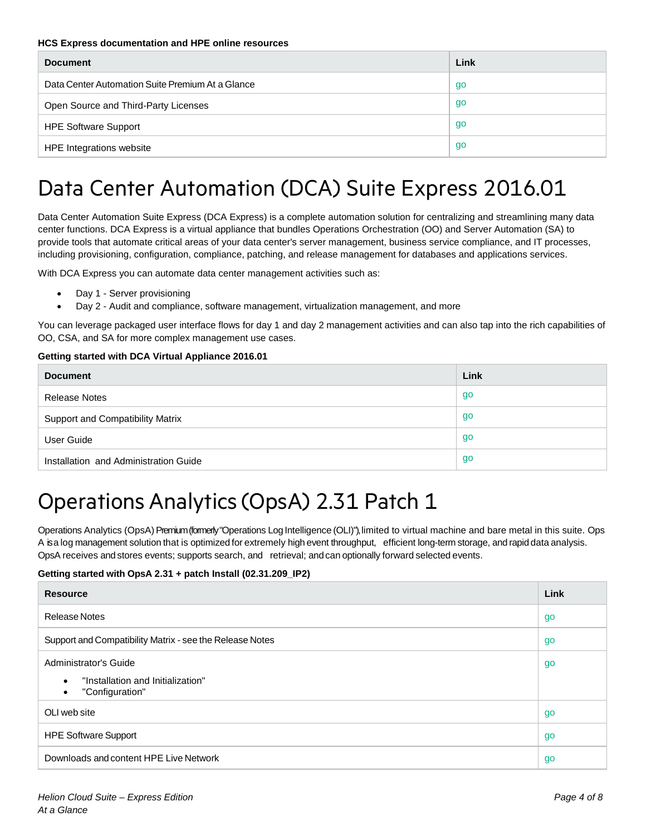#### **HCS Express documentation and HPE online resources**

| <b>Document</b>                                  | Link |
|--------------------------------------------------|------|
| Data Center Automation Suite Premium At a Glance | go   |
| Open Source and Third-Party Licenses             | go   |
| <b>HPE Software Support</b>                      | go   |
| HPE Integrations website                         | go   |

## <span id="page-3-0"></span>Data Center Automation (DCA) Suite Express 2016.01

Data Center Automation Suite Express (DCA Express) is a complete automation solution for centralizing and streamlining many data center functions. DCA Express is a virtual appliance that bundles Operations Orchestration (OO) and Server Automation (SA) to provide tools that automate critical areas of your data center's server management, business service compliance, and IT processes, including provisioning, configuration, compliance, patching, and release management for databases and applications services.

With DCA Express you can automate data center management activities such as:

- Day 1 Server provisioning
- Day 2 Audit and compliance, software management, virtualization management, and more

You can leverage packaged user interface flows for day 1 and day 2 management activities and can also tap into the rich capabilities of OO, CSA, and SA for more complex management use cases.

#### **Getting started with DCA Virtual Appliance 2016.01**

| <b>Document</b>                         | Link |  |
|-----------------------------------------|------|--|
| <b>Release Notes</b>                    | go   |  |
| <b>Support and Compatibility Matrix</b> | go   |  |
| User Guide                              | go   |  |
| Installation and Administration Guide   | go   |  |

## <span id="page-3-1"></span>Operations Analytics(OpsA) 2.31 Patch 1

Operations Analytics (OpsA) Premium(formerly "Operations Log Intelligence (OLI)"), limited to virtual machine and bare metal in this suite. Ops A is a log management solution that is optimized for extremely high event throughput, efficient long-term storage, and rapid data analysis. OpsA receives and stores events; supports search, and retrieval; andcan optionally forward selected events.

#### **Getting started with OpsA 2.31 + patch Install (02.31.209\_IP2)**

| <b>Resource</b>                                                                                         | Link |
|---------------------------------------------------------------------------------------------------------|------|
| Release Notes                                                                                           | go   |
| Support and Compatibility Matrix - see the Release Notes                                                | go   |
| Administrator's Guide<br>"Installation and Initialization"<br>$\bullet$<br>"Configuration"<br>$\bullet$ | go   |
| OLI web site                                                                                            | go   |
| <b>HPE Software Support</b>                                                                             | go   |
| Downloads and content HPE Live Network                                                                  | go   |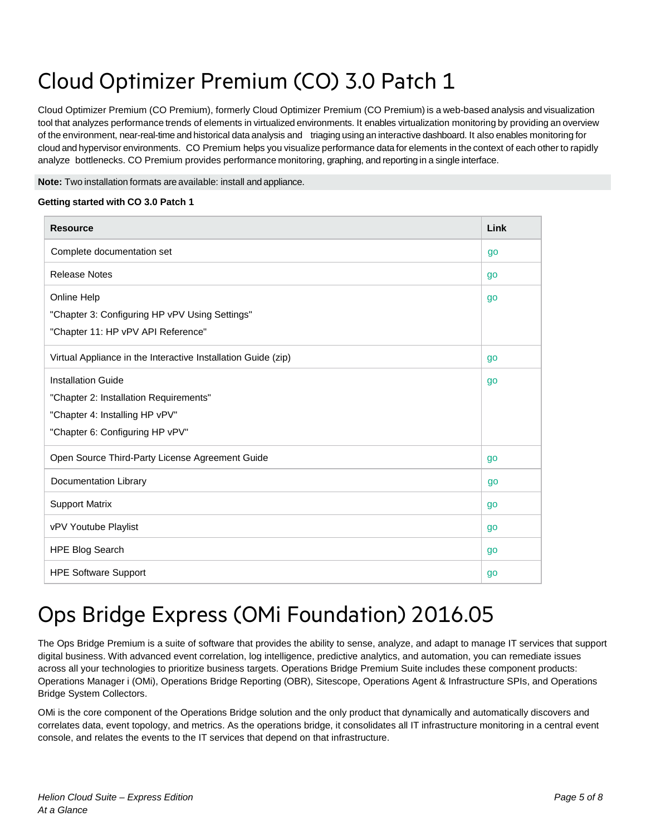## <span id="page-4-0"></span>Cloud Optimizer Premium (CO) 3.0 Patch 1

Cloud Optimizer Premium (CO Premium), formerly Cloud Optimizer Premium (CO Premium) is a web-based analysis and visualization tool that analyzes performance trends of elements in virtualized environments. It enables virtualization monitoring by providing an overview of the environment, near-real-time and historical data analysis and triaging using an interactive dashboard. It also enables monitoring for cloud and hypervisor environments. CO Premium helps you visualize performance data for elements in the context of each other to rapidly analyze bottlenecks. CO Premium provides performance monitoring, graphing, and reporting in a single interface.

**Note:** Two installation formats are available: install and appliance.

#### **Getting started with CO 3.0 Patch 1**

| <b>Resource</b>                                                                                                                          | Link |
|------------------------------------------------------------------------------------------------------------------------------------------|------|
| Complete documentation set                                                                                                               | go   |
| <b>Release Notes</b>                                                                                                                     | go   |
| Online Help<br>"Chapter 3: Configuring HP vPV Using Settings"<br>"Chapter 11: HP vPV API Reference"                                      | go   |
| Virtual Appliance in the Interactive Installation Guide (zip)                                                                            | go   |
| <b>Installation Guide</b><br>"Chapter 2: Installation Requirements"<br>"Chapter 4: Installing HP vPV"<br>"Chapter 6: Configuring HP vPV" | go   |
| Open Source Third-Party License Agreement Guide                                                                                          | go   |
| Documentation Library                                                                                                                    | go   |
| <b>Support Matrix</b>                                                                                                                    | go   |
| vPV Youtube Playlist                                                                                                                     | go   |
| <b>HPE Blog Search</b>                                                                                                                   | go   |
| <b>HPE Software Support</b>                                                                                                              | go   |

## <span id="page-4-1"></span>Ops Bridge Express (OMi Foundation) 2016.05

The Ops Bridge Premium is a suite of software that provides the ability to sense, analyze, and adapt to manage IT services that support digital business. With advanced event correlation, log intelligence, predictive analytics, and automation, you can remediate issues across all your technologies to prioritize business targets. Operations Bridge Premium Suite includes these component products: Operations Manager i (OMi), Operations Bridge Reporting (OBR), Sitescope, Operations Agent & Infrastructure SPIs, and Operations Bridge System Collectors.

OMi is the core component of the Operations Bridge solution and the only product that dynamically and automatically discovers and correlates data, event topology, and metrics. As the operations bridge, it consolidates all IT infrastructure monitoring in a central event console, and relates the events to the IT services that depend on that infrastructure.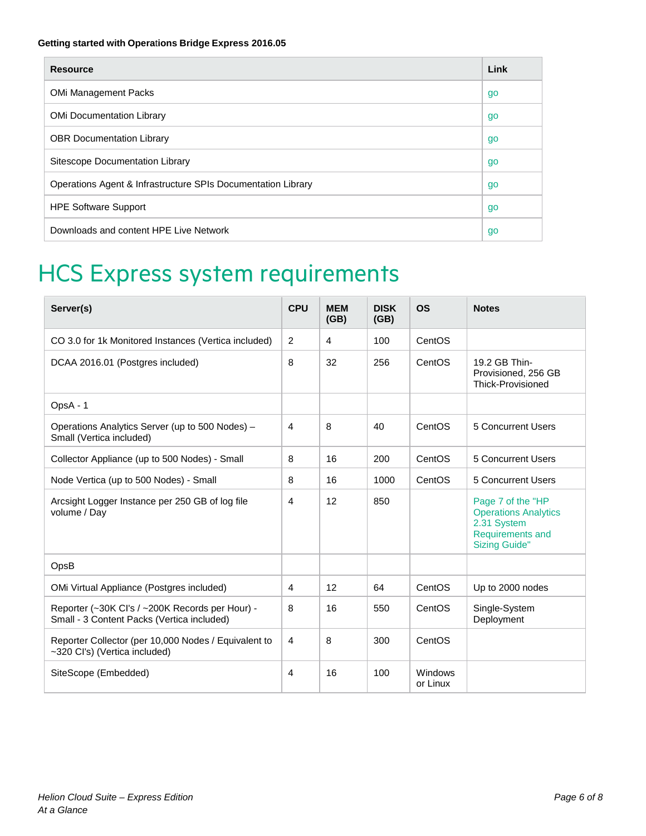#### **Getting started with Opera**t**ions Bridge Express 2016.05**

| <b>Resource</b>                                              | Link |
|--------------------------------------------------------------|------|
| <b>OMi Management Packs</b>                                  | go   |
| <b>OMI Documentation Library</b>                             | go   |
| <b>OBR Documentation Library</b>                             | go   |
| Sitescope Documentation Library                              | go   |
| Operations Agent & Infrastructure SPIs Documentation Library | go   |
| <b>HPE Software Support</b>                                  | go   |
| Downloads and content HPE Live Network                       | go   |

## <span id="page-5-0"></span>HCS Express system requirements

| Server(s)                                                                                     | <b>CPU</b>     | <b>MEM</b><br>(GB) | <b>DISK</b><br>(GB) | <b>OS</b>           | <b>Notes</b>                                                                                                       |
|-----------------------------------------------------------------------------------------------|----------------|--------------------|---------------------|---------------------|--------------------------------------------------------------------------------------------------------------------|
| CO 3.0 for 1k Monitored Instances (Vertica included)                                          | $\overline{2}$ | 4                  | 100                 | CentOS              |                                                                                                                    |
| DCAA 2016.01 (Postgres included)                                                              | 8              | 32                 | 256                 | CentOS              | 19.2 GB Thin-<br>Provisioned, 256 GB<br><b>Thick-Provisioned</b>                                                   |
| OpsA - 1                                                                                      |                |                    |                     |                     |                                                                                                                    |
| Operations Analytics Server (up to 500 Nodes) -<br>Small (Vertica included)                   | $\overline{4}$ | 8                  | 40                  | CentOS              | 5 Concurrent Users                                                                                                 |
| Collector Appliance (up to 500 Nodes) - Small                                                 | 8              | 16                 | 200                 | CentOS              | 5 Concurrent Users                                                                                                 |
| Node Vertica (up to 500 Nodes) - Small                                                        | 8              | 16                 | 1000                | CentOS              | 5 Concurrent Users                                                                                                 |
| Arcsight Logger Instance per 250 GB of log file<br>volume / Day                               | $\overline{4}$ | 12                 | 850                 |                     | Page 7 of the "HP<br><b>Operations Analytics</b><br>2.31 System<br><b>Requirements and</b><br><b>Sizing Guide"</b> |
| OpsB                                                                                          |                |                    |                     |                     |                                                                                                                    |
| OMi Virtual Appliance (Postgres included)                                                     | $\overline{4}$ | 12                 | 64                  | CentOS              | Up to 2000 nodes                                                                                                   |
| Reporter (~30K CI's / ~200K Records per Hour) -<br>Small - 3 Content Packs (Vertica included) | 8              | 16                 | 550                 | CentOS              | Single-System<br>Deployment                                                                                        |
| Reporter Collector (per 10,000 Nodes / Equivalent to<br>~320 Cl's) (Vertica included)         | $\overline{4}$ | 8                  | 300                 | CentOS              |                                                                                                                    |
| SiteScope (Embedded)                                                                          | 4              | 16                 | 100                 | Windows<br>or Linux |                                                                                                                    |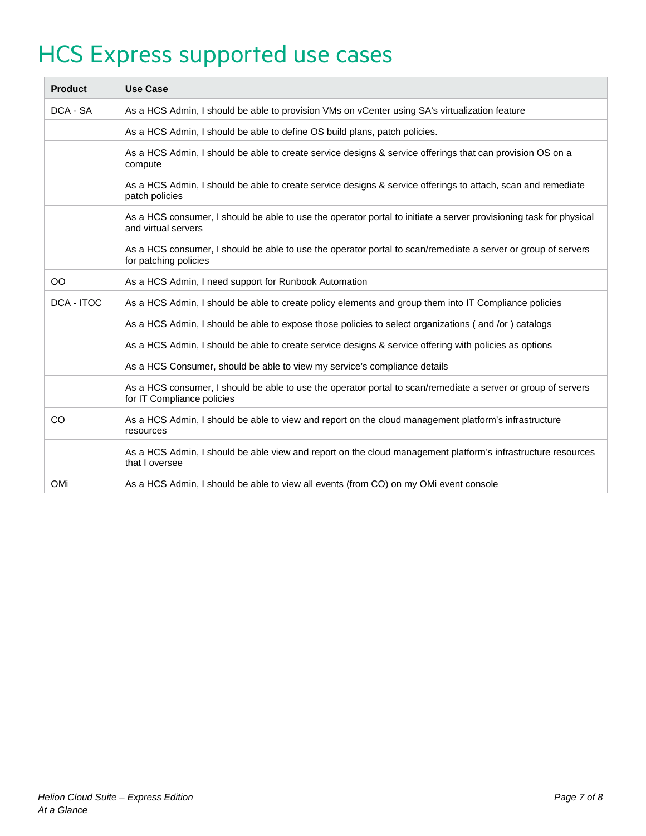# <span id="page-6-0"></span>HCS Express supported use cases

| <b>Product</b> | <b>Use Case</b>                                                                                                                             |
|----------------|---------------------------------------------------------------------------------------------------------------------------------------------|
| DCA - SA       | As a HCS Admin, I should be able to provision VMs on vCenter using SA's virtualization feature                                              |
|                | As a HCS Admin, I should be able to define OS build plans, patch policies.                                                                  |
|                | As a HCS Admin, I should be able to create service designs & service offerings that can provision OS on a<br>compute                        |
|                | As a HCS Admin, I should be able to create service designs & service offerings to attach, scan and remediate<br>patch policies              |
|                | As a HCS consumer, I should be able to use the operator portal to initiate a server provisioning task for physical<br>and virtual servers   |
|                | As a HCS consumer, I should be able to use the operator portal to scan/remediate a server or group of servers<br>for patching policies      |
| 00             | As a HCS Admin, I need support for Runbook Automation                                                                                       |
| DCA - ITOC     | As a HCS Admin, I should be able to create policy elements and group them into IT Compliance policies                                       |
|                | As a HCS Admin, I should be able to expose those policies to select organizations (and /or) catalogs                                        |
|                | As a HCS Admin, I should be able to create service designs & service offering with policies as options                                      |
|                | As a HCS Consumer, should be able to view my service's compliance details                                                                   |
|                | As a HCS consumer, I should be able to use the operator portal to scan/remediate a server or group of servers<br>for IT Compliance policies |
| <b>CO</b>      | As a HCS Admin, I should be able to view and report on the cloud management platform's infrastructure<br>resources                          |
|                | As a HCS Admin, I should be able view and report on the cloud management platform's infrastructure resources<br>that I oversee              |
| OMi            | As a HCS Admin, I should be able to view all events (from CO) on my OMi event console                                                       |